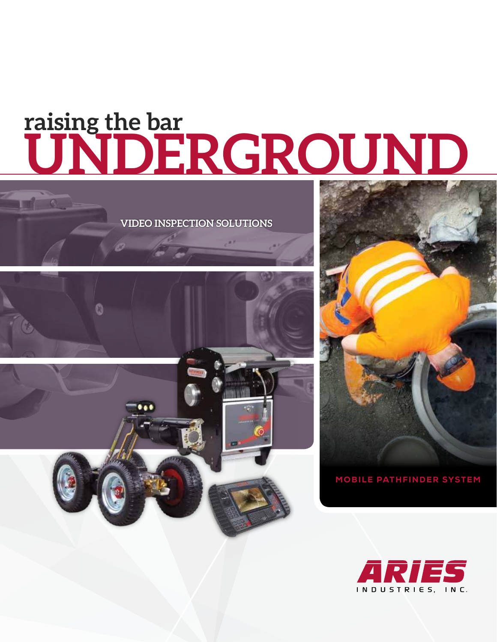## **UNDERGROUND raising the bar**

**VIDEO INSPECTION SOLUTIONS**





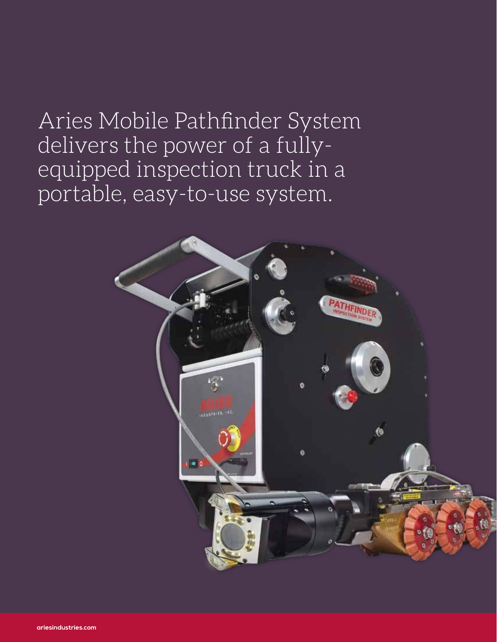## Aries Mobile Pathfinder System delivers the power of a fullyequipped inspection truck in a portable, easy-to-use system.

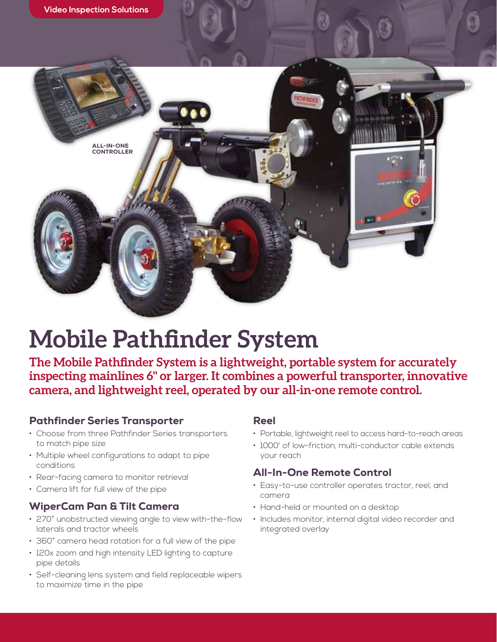

## **Mobile Pathfinder System**

**The Mobile Pathfinder System is a lightweight, portable system for accurately inspecting mainlines 6" or larger. It combines a powerful transporter, innovative camera, and lightweight reel, operated by our all-in-one remote control.** 

### Pathfinder Series Transporter

- Choose from three Pathfinder Series transporters to match pipe size
- Multiple wheel configurations to adapt to pipe conditions
- Rear-facing camera to monitor retrieval
- Camera lift for full view of the pipe

### WiperCam Pan & Tilt Camera

- 270° unobstructed viewing angle to view with-the-flow laterals and tractor wheels
- 360° camera head rotation for a full view of the pipe
- 120x zoom and high intensity LED lighting to capture pipe details
- Self-cleaning lens system and field replaceable wipers to maximize time in the pipe

### Reel

- Portable, lightweight reel to access hard-to-reach areas
- 1000' of low-friction, multi-conductor cable extends your reach

### All-In-One Remote Control

- Easy-to-use controller operates tractor, reel, and camera
- Hand-held or mounted on a desktop
- Includes monitor, internal digital video recorder and integrated overlay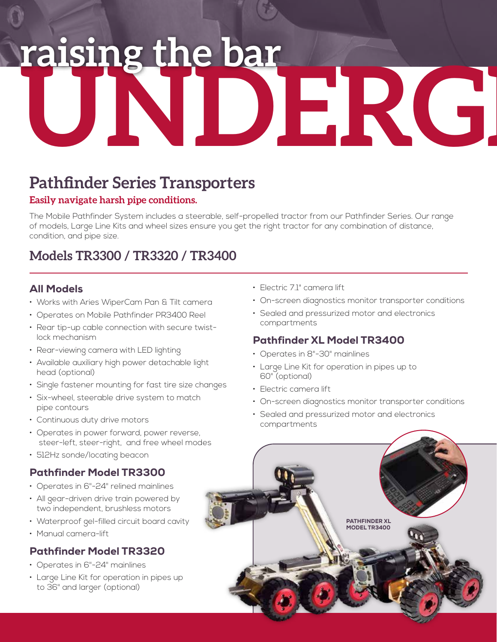# raising the bar<br>UNDERG

### **Pathfinder Series Transporters**

### **Easily navigate harsh pipe conditions.**

The Mobile Pathfinder System includes a steerable, self-propelled tractor from our Pathfinder Series. Our range of models, Large Line Kits and wheel sizes ensure you get the right tractor for any combination of distance, condition, and pipe size.

### **Models TR3300 / TR3320 / TR3400**

### All Models

- Works with Aries WiperCam Pan & Tilt camera
- Operates on Mobile Pathfinder PR3400 Reel
- Rear tip-up cable connection with secure twistlock mechanism
- Rear-viewing camera with LED lighting
- Available auxiliary high power detachable light head (optional)
- Single fastener mounting for fast tire size changes
- Six-wheel, steerable drive system to match pipe contours
- Continuous duty drive motors
- Operates in power forward, power reverse, steer-left, steer-right, and free wheel modes
- 512Hz sonde/locating beacon

### Pathfinder Model TR3300

- Operates in 6"-24" relined mainlines
- All gear-driven drive train powered by two independent, brushless motors
- Waterproof gel-filled circuit board cavity
- Manual camera-lift

### Pathfinder Model TR3320

- Operates in 6"-24" mainlines
- Large Line Kit for operation in pipes up to 36" and larger (optional)
- Electric 7.1" camera lift
- On-screen diagnostics monitor transporter conditions
- Sealed and pressurized motor and electronics compartments

### Pathfinder XL Model TR3400

- Operates in 8"-30" mainlines
- Large Line Kit for operation in pipes up to 60" (optional)
- Electric camera lift
- On-screen diagnostics monitor transporter conditions
- Sealed and pressurized motor and electronics compartments

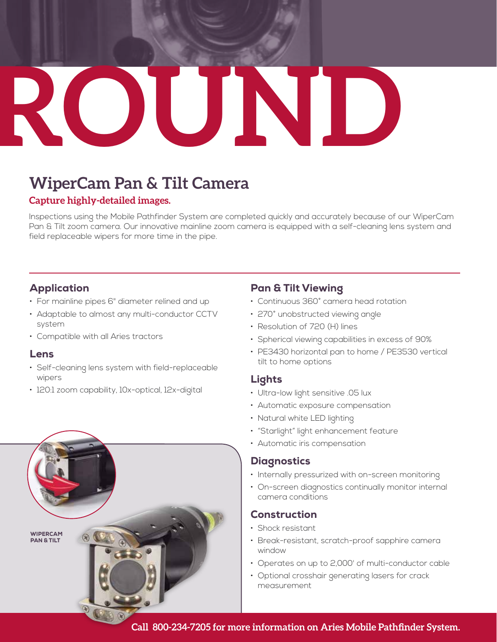## **GROUND**

## **WiperCam Pan & Tilt Camera**

### **Capture highly-detailed images.**

Inspections using the Mobile Pathfinder System are completed quickly and accurately because of our WiperCam Pan & Tilt zoom camera. Our innovative mainline zoom camera is equipped with a self-cleaning lens system and field replaceable wipers for more time in the pipe.

### Application

- For mainline pipes 6" diameter relined and up
- Adaptable to almost any multi-conductor CCTV system
- Compatible with all Aries tractors

### Lens

- Self-cleaning lens system with field-replaceable wipers
- 120:1 zoom capability, 10x-optical, 12x-digital



### Pan & Tilt Viewing

- Continuous 360° camera head rotation
- 270° unobstructed viewing angle
- Resolution of 720 (H) lines
- Spherical viewing capabilities in excess of 90%
- PE3430 horizontal pan to home / PE3530 vertical tilt to home options

### Lights

- Ultra-low light sensitive .05 lux
- Automatic exposure compensation
- Natural white LED lighting
- "Starlight" light enhancement feature
- Automatic iris compensation

### **Diagnostics**

- Internally pressurized with on-screen monitoring
- On-screen diagnostics continually monitor internal camera conditions

### Construction

- Shock resistant
- Break-resistant, scratch-proof sapphire camera window
- Operates on up to 2,000' of multi-conductor cable
- Optional crosshair generating lasers for crack measurement